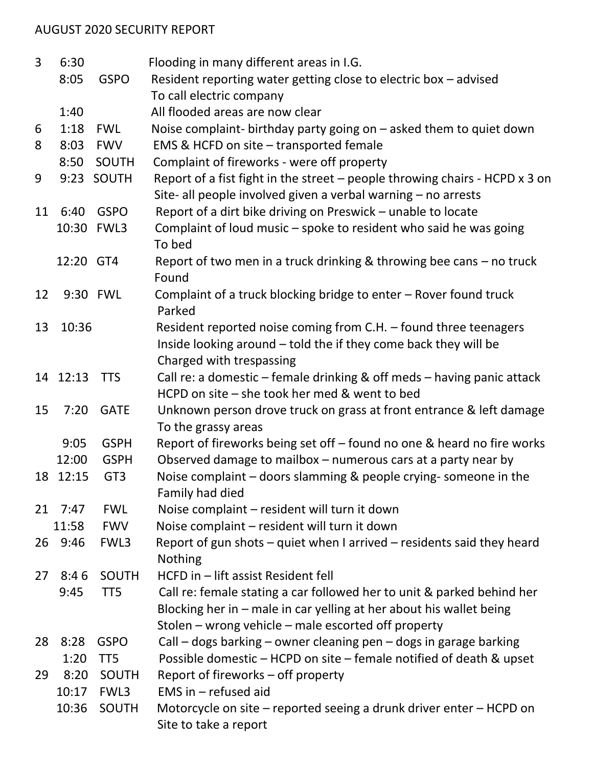## AUGUST 2020 SECURITY REPORT

| 3  | 6:30      |                 | Flooding in many different areas in I.G.                                                     |  |  |
|----|-----------|-----------------|----------------------------------------------------------------------------------------------|--|--|
|    | 8:05      | <b>GSPO</b>     | Resident reporting water getting close to electric box - advised                             |  |  |
|    |           |                 | To call electric company                                                                     |  |  |
|    | 1:40      |                 | All flooded areas are now clear                                                              |  |  |
| 6  | 1:18      | <b>FWL</b>      | Noise complaint- birthday party going on – asked them to quiet down                          |  |  |
| 8  | 8:03      | <b>FWV</b>      | EMS & HCFD on site - transported female                                                      |  |  |
|    | 8:50      | SOUTH           | Complaint of fireworks - were off property                                                   |  |  |
| 9  |           | 9:23 SOUTH      | Report of a fist fight in the street $-$ people throwing chairs - HCPD $x$ 3 on              |  |  |
|    |           |                 | Site- all people involved given a verbal warning - no arrests                                |  |  |
| 11 | 6:40      | <b>GSPO</b>     | Report of a dirt bike driving on Preswick - unable to locate                                 |  |  |
|    |           | 10:30 FWL3      | Complaint of loud music - spoke to resident who said he was going<br>To bed                  |  |  |
|    | 12:20 GT4 |                 | Report of two men in a truck drinking & throwing bee cans - no truck<br>Found                |  |  |
| 12 |           | 9:30 FWL        | Complaint of a truck blocking bridge to enter - Rover found truck<br>Parked                  |  |  |
| 13 | 10:36     |                 | Resident reported noise coming from C.H. - found three teenagers                             |  |  |
|    |           |                 | Inside looking around – told the if they come back they will be                              |  |  |
|    |           |                 | Charged with trespassing                                                                     |  |  |
|    | 14 12:13  | <b>TTS</b>      | Call re: a domestic – female drinking & off meds – having panic attack                       |  |  |
|    |           |                 | HCPD on site – she took her med & went to bed                                                |  |  |
| 15 | 7:20      | <b>GATE</b>     | Unknown person drove truck on grass at front entrance & left damage                          |  |  |
|    |           |                 | To the grassy areas                                                                          |  |  |
|    | 9:05      | <b>GSPH</b>     | Report of fireworks being set off - found no one & heard no fire works                       |  |  |
|    | 12:00     | <b>GSPH</b>     | Observed damage to mailbox - numerous cars at a party near by                                |  |  |
|    | 18 12:15  | GT <sub>3</sub> | Noise complaint – doors slamming & people crying-someone in the<br>Family had died           |  |  |
| 21 | 7:47      | <b>FWL</b>      | Noise complaint - resident will turn it down                                                 |  |  |
|    | 11:58     | <b>FWV</b>      | Noise complaint - resident will turn it down                                                 |  |  |
|    | 26 9:46   | FWL3            | Report of gun shots $-$ quiet when I arrived $-$ residents said they heard                   |  |  |
|    |           |                 | <b>Nothing</b>                                                                               |  |  |
| 27 | 8:46      | <b>SOUTH</b>    | HCFD in - lift assist Resident fell                                                          |  |  |
|    | 9:45      | TT <sub>5</sub> | Call re: female stating a car followed her to unit & parked behind her                       |  |  |
|    |           |                 | Blocking her in – male in car yelling at her about his wallet being                          |  |  |
|    |           |                 | Stolen – wrong vehicle – male escorted off property                                          |  |  |
| 28 | 8:28      | <b>GSPO</b>     | Call – dogs barking – owner cleaning pen – dogs in garage barking                            |  |  |
|    | 1:20      | TT <sub>5</sub> | Possible domestic - HCPD on site - female notified of death & upset                          |  |  |
| 29 | 8:20      | SOUTH           | Report of fireworks – off property                                                           |  |  |
|    | 10:17     | FWL3            | EMS in $-$ refused aid                                                                       |  |  |
|    | 10:36     | <b>SOUTH</b>    | Motorcycle on site - reported seeing a drunk driver enter - HCPD on<br>Site to take a report |  |  |